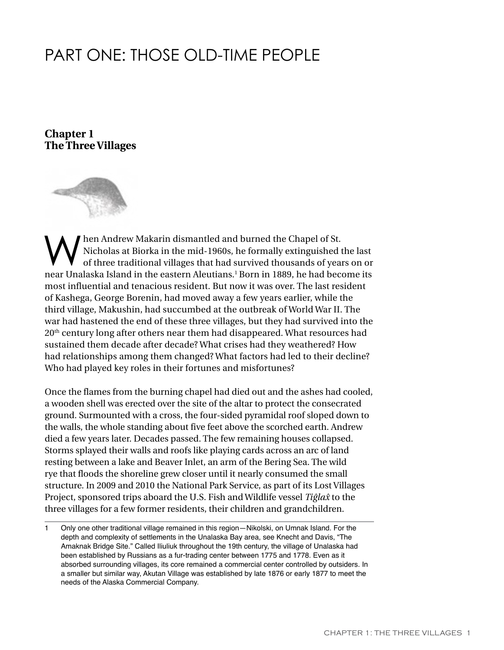# PART ONE: THOSE OLD-TIME PEOPLE

**Chapter 1 The Three Villages**



When Andrew Makarin dismantled and burned the Chapel of St.<br>
of three traditional villages that had survived thousands of years on or<br>
one Uncleska Island in the section Alexting is learning in 1999, he had become its Nicholas at Biorka in the mid-1960s, he formally extinguished the last near Unalaska Island in the eastern Aleutians.<sup>1</sup> Born in 1889, he had become its most influential and tenacious resident. But now it was over. The last resident of Kashega, George Borenin, had moved away a few years earlier, while the third village, Makushin, had succumbed at the outbreak of World War II. The war had hastened the end of these three villages, but they had survived into the 20th century long after others near them had disappeared. What resources had sustained them decade after decade? What crises had they weathered? How had relationships among them changed? What factors had led to their decline? Who had played key roles in their fortunes and misfortunes?

Once the flames from the burning chapel had died out and the ashes had cooled, a wooden shell was erected over the site of the altar to protect the consecrated ground. Surmounted with a cross, the four-sided pyramidal roof sloped down to the walls, the whole standing about five feet above the scorched earth. Andrew died a few years later. Decades passed. The few remaining houses collapsed. Storms splayed their walls and roofs like playing cards across an arc of land resting between a lake and Beaver Inlet, an arm of the Bering Sea. The wild rye that floods the shoreline grew closer until it nearly consumed the small structure. In 2009 and 2010 the National Park Service, as part of its Lost Villages Project, sponsored trips aboard the U.S. Fish and Wildlife vessel *Tiĝla{* to the three villages for a few former residents, their children and grandchildren.

<sup>1</sup> Only one other traditional village remained in this region—Nikolski, on Umnak Island. For the depth and complexity of settlements in the Unalaska Bay area, see Knecht and Davis, "The Amaknak Bridge Site." Called Iliuliuk throughout the 19th century, the village of Unalaska had been established by Russians as a fur-trading center between 1775 and 1778. Even as it absorbed surrounding villages, its core remained a commercial center controlled by outsiders. In a smaller but similar way, Akutan Village was established by late 1876 or early 1877 to meet the needs of the Alaska Commercial Company.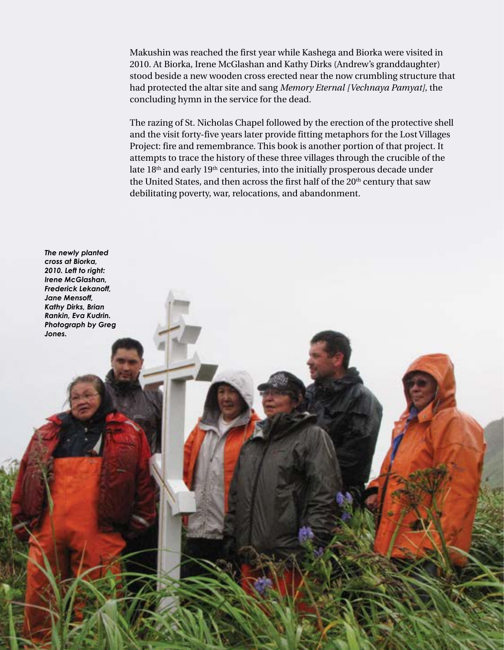Makushin was reached the first year while Kashega and Biorka were visited in 2010. At Biorka, Irene McGlashan and Kathy Dirks (Andrew's granddaughter) stood beside a new wooden cross erected near the now crumbling structure that had protected the altar site and sang *Memory Eternal [Vechnaya Pamyat]*, the concluding hymn in the service for the dead.

The razing of St. Nicholas Chapel followed by the erection of the protective shell and the visit forty-five years later provide fitting metaphors for the Lost Villages Project: fire and remembrance. This book is another portion of that project. It attempts to trace the history of these three villages through the crucible of the late  $18<sup>th</sup>$  and early  $19<sup>th</sup>$  centuries, into the initially prosperous decade under the United States, and then across the first half of the 20<sup>th</sup> century that saw debilitating poverty, war, relocations, and abandonment.

*The newly planted cross at Biorka, 2010. Left to right: Irene McGlashan, Frederick Lekanoff, Jane Mensoff, Kathy Dirks, Brian Rankin, Eva Kudrin. Photograph by Greg Jones.*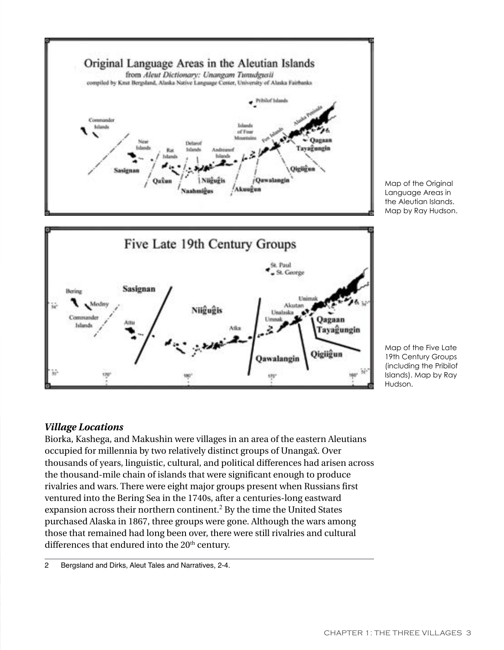

nter

#### 19th Century Groups (including the Pribilof Islands). Map by Ray Hudson.

## *Village Locations*

Biorka, Kashega, and Makushin were villages in an area of the eastern Aleutians occupied for millennia by two relatively distinct groups of Unanga $\hat{x}$ . Over thousands of years, linguistic, cultural, and political differences had arisen across the thousand-mile chain of islands that were significant enough to produce rivalries and wars. There were eight major groups present when Russians first ventured into the Bering Sea in the 1740s, after a centuries-long eastward expansion across their northern continent.<sup>2</sup> By the time the United States purchased Alaska in 1867, three groups were gone. Although the wars among those that remained had long been over, there were still rivalries and cultural differences that endured into the 20<sup>th</sup> century.

<sup>2</sup> Bergsland and Dirks, Aleut Tales and Narratives, 2-4.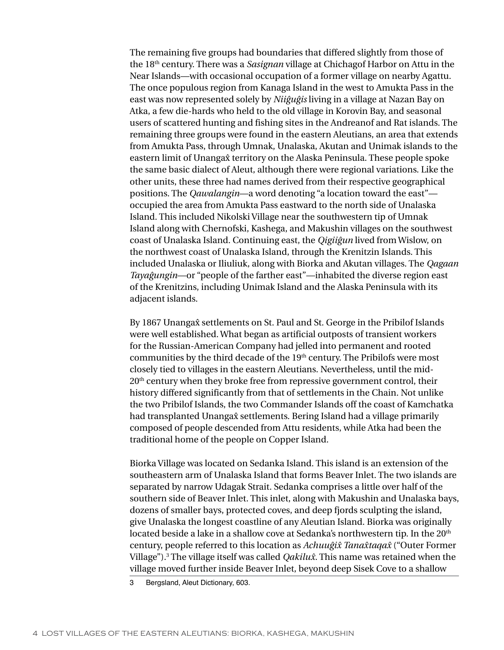The remaining five groups had boundaries that differed slightly from those of the 18th century. There was a *Sasignan* village at Chichagof Harbor on Attu in the Near Islands—with occasional occupation of a former village on nearby Agattu. The once populous region from Kanaga Island in the west to Amukta Pass in the east was now represented solely by *Niiĝuĝis* living in a village at Nazan Bay on Atka, a few die-hards who held to the old village in Korovin Bay, and seasonal users of scattered hunting and fishing sites in the Andreanof and Rat islands. The remaining three groups were found in the eastern Aleutians, an area that extends from Amukta Pass, through Umnak, Unalaska, Akutan and Unimak islands to the eastern limit of Unanga{ territory on the Alaska Peninsula. These people spoke the same basic dialect of Aleut, although there were regional variations. Like the other units, these three had names derived from their respective geographical positions. The *Qawalangin*—a word denoting "a location toward the east" occupied the area from Amukta Pass eastward to the north side of Unalaska Island. This included Nikolski Village near the southwestern tip of Umnak Island along with Chernofski, Kashega, and Makushin villages on the southwest coast of Unalaska Island. Continuing east, the *Qigiiĝun* lived from Wislow, on the northwest coast of Unalaska Island, through the Krenitzin Islands. This included Unalaska or Iliuliuk, along with Biorka and Akutan villages. The *Qagaan Tayaĝungin*—or "people of the farther east"—inhabited the diverse region east of the Krenitzins, including Unimak Island and the Alaska Peninsula with its adjacent islands.

By 1867 Unanga $\hat{x}$  settlements on St. Paul and St. George in the Pribilof Islands were well established. What began as artificial outposts of transient workers for the Russian-American Company had jelled into permanent and rooted communities by the third decade of the 19<sup>th</sup> century. The Pribilofs were most closely tied to villages in the eastern Aleutians. Nevertheless, until the mid- $20<sup>th</sup>$  century when they broke free from repressive government control, their history differed significantly from that of settlements in the Chain. Not unlike the two Pribilof Islands, the two Commander Islands off the coast of Kamchatka had transplanted Unanga $\hat{x}$  settlements. Bering Island had a village primarily composed of people descended from Attu residents, while Atka had been the traditional home of the people on Copper Island.

Biorka Village was located on Sedanka Island. This island is an extension of the southeastern arm of Unalaska Island that forms Beaver Inlet. The two islands are separated by narrow Udagak Strait. Sedanka comprises a little over half of the southern side of Beaver Inlet. This inlet, along with Makushin and Unalaska bays, dozens of smaller bays, protected coves, and deep fjords sculpting the island, give Unalaska the longest coastline of any Aleutian Island. Biorka was originally located beside a lake in a shallow cove at Sedanka's northwestern tip. In the 20<sup>th</sup> century, people referred to this location as *Achuuĝi{ Tana{taqa{* ("Outer Former Village").<sup>3</sup> The village itself was called *Qakilux*. This name was retained when the village moved further inside Beaver Inlet, beyond deep Sisek Cove to a shallow

3 Bergsland, Aleut Dictionary, 603.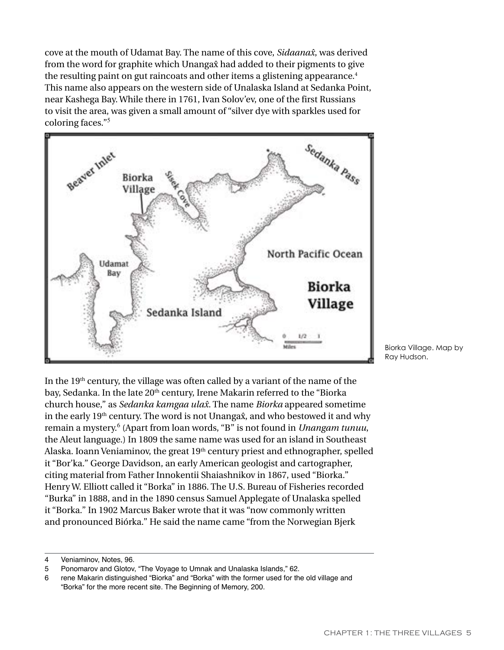cove at the mouth of Udamat Bay. The name of this cove, *Sidaana{*, was derived from the word for graphite which Unanga $\hat{x}$  had added to their pigments to give the resulting paint on gut raincoats and other items a glistening appearance.<sup>4</sup> This name also appears on the western side of Unalaska Island at Sedanka Point, near Kashega Bay. While there in 1761, Ivan Solov'ev, one of the first Russians to visit the area, was given a small amount of "silver dye with sparkles used for coloring faces."<sup>5</sup>



Biorka Village. Map by Ray Hudson.

In the  $19<sup>th</sup>$  century, the village was often called by a variant of the name of the bay, Sedanka. In the late 20<sup>th</sup> century, Irene Makarin referred to the "Biorka church house," as *Sedanka kamgaa ula{*. The name *Biorka* appeared sometime in the early  $19<sup>th</sup>$  century. The word is not Unanga $\hat{x}$ , and who bestowed it and why remain a mystery.<sup>6</sup> (Apart from loan words, "B" is not found in *Unangam tunuu*, the Aleut language.) In 1809 the same name was used for an island in Southeast Alaska. Ioann Veniaminov, the great 19<sup>th</sup> century priest and ethnographer, spelled it "Bor'ka." George Davidson, an early American geologist and cartographer, citing material from Father Innokentii Shaiashnikov in 1867, used "Biorka." Henry W. Elliott called it "Borka" in 1886. The U.S. Bureau of Fisheries recorded "Burka" in 1888, and in the 1890 census Samuel Applegate of Unalaska spelled it "Borka." In 1902 Marcus Baker wrote that it was "now commonly written and pronounced Biórka." He said the name came "from the Norwegian Bjerk

<sup>4</sup> Veniaminov, Notes, 96.

<sup>5</sup> Ponomarov and Glotov, "The Voyage to Umnak and Unalaska Islands," 62.<br>6 rene Makarin distinguished "Biorka" and "Borka" with the former used for the

<sup>6</sup> rene Makarin distinguished "Biorka" and "Borka" with the former used for the old village and "Borka" for the more recent site. The Beginning of Memory, 200.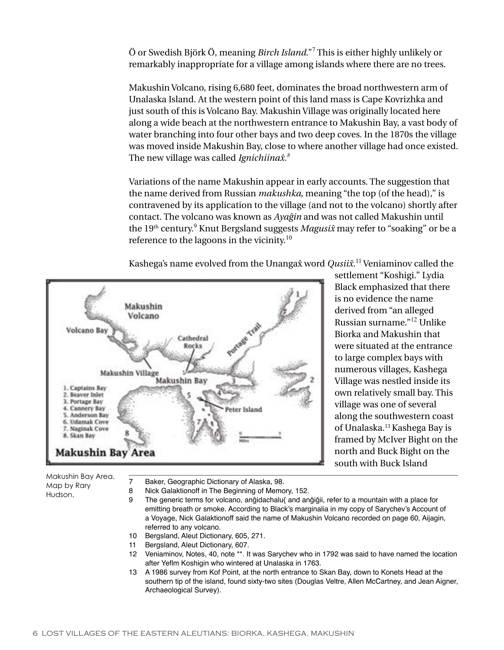Ö or Swedish Björk Ö, meaning *Birch Island*."<sup>7</sup> This is either highly unlikely or remarkably inappropriate for a village among islands where there are no trees.

Makushin Volcano, rising 6,680 feet, dominates the broad northwestern arm of Unalaska Island. At the western point of this land mass is Cape Kovrizhka and just south of this is Volcano Bay. Makushin Village was originally located here along a wide beach at the northwestern entrance to Makushin Bay, a vast body of water branching into four other bays and two deep coves. In the 1870s the village was moved inside Makushin Bay, close to where another village had once existed. The new village was called *Ignichiina{.<sup>8</sup>*

Variations of the name Makushin appear in early accounts. The suggestion that the name derived from Russian *makushka*, meaning "the top (of the head)," is contravened by its application to the village (and not to the volcano) shortly after contact. The volcano was known as *Ayaĝin* and was not called Makushin until the 19<sup>th</sup> century.<sup>9</sup> Knut Bergsland suggests *Magusix* may refer to "soaking" or be a reference to the lagoons in the vicinity.<sup>10</sup>

Kashega's name evolved from the Unangax̂ word *Qusiix*.<sup>11</sup> Veniaminov called the



settlement "Koshigi." Lydia Black emphasized that there is no evidence the name derived from "an alleged Russian surname."<sup>12</sup> Unlike Biorka and Makushin that were situated at the entrance to large complex bays with numerous villages, Kashega Village was nestled inside its own relatively small bay. This village was one of several along the southwestern coast of Unalaska.<sup>13</sup> Kashega Bay is framed by McIver Bight on the north and Buck Bight on the south with Buck Island

Makushin Bay Area. Map by Rary Hudson.

- 7 Baker, Geographic Dictionary of Alaska, 98.
- 8 Nick Galaktionoff in The Beginning of Memory, 152.<br>9 The generic terms for volcano, anôidachalu/ and an
	- The generic terms for volcano, anĝidachalu{ and anĝiĝii, refer to a mountain with a place for emitting breath or smoke. According to Black's marginalia in my copy of Sarychev's Account of a Voyage, Nick Galaktionoff said the name of Makushin Volcano recorded on page 60, Aijagin, referred to any volcano.
- 10 Bergsland, Aleut Dictionary, 605, 271.
- 11 Bergsland, Aleut Dictionary, 607.
- 12 Veniaminov, Notes, 40, note \*\*. It was Sarychev who in 1792 was said to have named the location after Yeflm Koshigin who wintered at Unalaska in 1763.
- 13 A 1986 survey from Kof Point, at the north entrance to Skan Bay, down to Konets Head at the southern tip of the island, found sixty-two sites (Douglas Veltre, Allen McCartney, and Jean Aigner, Archaeological Survey).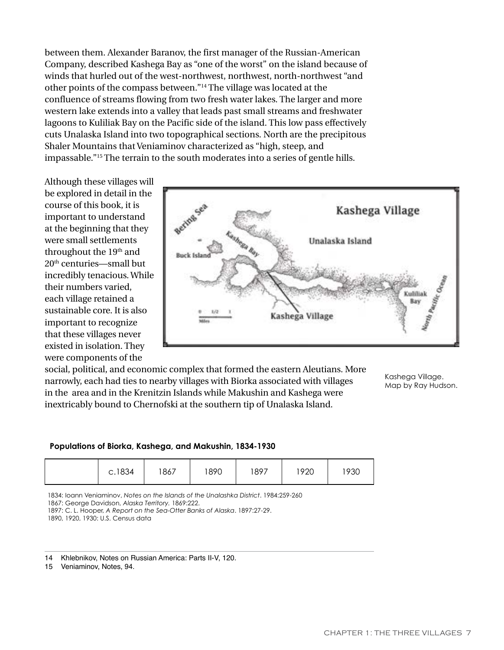between them. Alexander Baranov, the first manager of the Russian-American Company, described Kashega Bay as "one of the worst" on the island because of winds that hurled out of the west-northwest, northwest, north-northwest "and other points of the compass between."<sup>14</sup> The village was located at the confluence of streams flowing from two fresh water lakes. The larger and more western lake extends into a valley that leads past small streams and freshwater lagoons to Kuliliak Bay on the Pacific side of the island. This low pass effectively cuts Unalaska Island into two topographical sections. North are the precipitous Shaler Mountains that Veniaminov characterized as "high, steep, and impassable."<sup>15</sup> The terrain to the south moderates into a series of gentle hills.

Although these villages will be explored in detail in the course of this book, it is important to understand at the beginning that they were small settlements throughout the 19<sup>th</sup> and 20th centuries—small but incredibly tenacious. While their numbers varied, each village retained a sustainable core. It is also important to recognize that these villages never existed in isolation. They were components of the



social, political, and economic complex that formed the eastern Aleutians. More narrowly, each had ties to nearby villages with Biorka associated with villages in the area and in the Krenitzin Islands while Makushin and Kashega were inextricably bound to Chernofski at the southern tip of Unalaska Island.

Kashega Village. Map by Ray Hudson.

#### **Populations of Biorka, Kashega, and Makushin, 1834-1930**

|  | c.1834 | 1867 | 1890 | 1897 | 1920 | 930 |
|--|--------|------|------|------|------|-----|
|--|--------|------|------|------|------|-----|

1834: Ioann Veniaminov, *Notes on the Islands of the Unalashka District*. 1984:259-260

1867: George Davidson, *Alaska Territory.* 1869:222.

1897: C. L. Hooper, *A Report on the Sea-Otter Banks of Alaska*. 1897:27-29.

1890, 1920, 1930: U.S. Census data

- 14 Khlebnikov, Notes on Russian America: Parts II-V, 120.
- 15 Veniaminov, Notes, 94.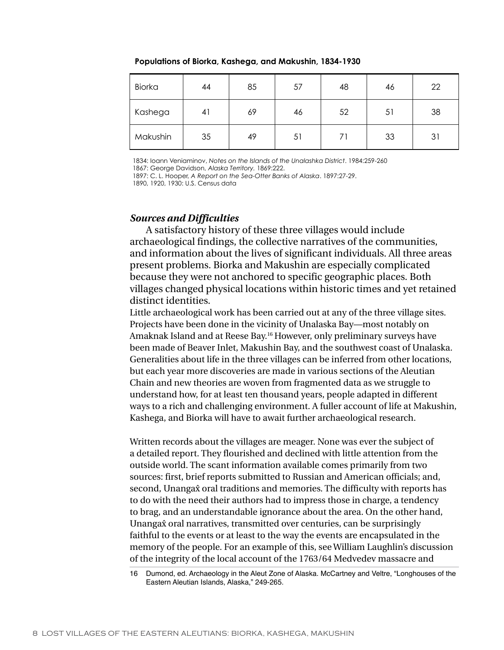#### **Populations of Biorka, Kashega, and Makushin, 1834-1930**

| <b>Biorka</b> | 44 | 85 | 57 | 48 | 46 | 22 |
|---------------|----|----|----|----|----|----|
| Kashega       | 41 | 69 | 46 | 52 | 51 | 38 |
| Makushin      | 35 | 49 | 51 | 71 | 33 | 31 |

1834: Ioann Veniaminov, *Notes on the Islands of the Unalashka District*. 1984:259-260

1867: George Davidson, *Alaska Territory.* 1869:222.

1897: C. L. Hooper, *A Report on the Sea-Otter Banks of Alaska*. 1897:27-29.

1890, 1920, 1930: U.S. Census data

### *Sources and Difficulties*

A satisfactory history of these three villages would include archaeological findings, the collective narratives of the communities, and information about the lives of significant individuals. All three areas present problems. Biorka and Makushin are especially complicated because they were not anchored to specific geographic places. Both villages changed physical locations within historic times and yet retained distinct identities.

Little archaeological work has been carried out at any of the three village sites. Projects have been done in the vicinity of Unalaska Bay—most notably on Amaknak Island and at Reese Bay.<sup>16</sup> However, only preliminary surveys have been made of Beaver Inlet, Makushin Bay, and the southwest coast of Unalaska. Generalities about life in the three villages can be inferred from other locations, but each year more discoveries are made in various sections of the Aleutian Chain and new theories are woven from fragmented data as we struggle to understand how, for at least ten thousand years, people adapted in different ways to a rich and challenging environment. A fuller account of life at Makushin, Kashega, and Biorka will have to await further archaeological research.

Written records about the villages are meager. None was ever the subject of a detailed report. They flourished and declined with little attention from the outside world. The scant information available comes primarily from two sources: first, brief reports submitted to Russian and American officials; and, second, Unangax oral traditions and memories. The difficulty with reports has to do with the need their authors had to impress those in charge, a tendency to brag, and an understandable ignorance about the area. On the other hand, Unanga $\hat{x}$  oral narratives, transmitted over centuries, can be surprisingly faithful to the events or at least to the way the events are encapsulated in the memory of the people. For an example of this, see William Laughlin's discussion of the integrity of the local account of the 1763/64 Medvedev massacre and

<sup>16</sup> Dumond, ed. Archaeology in the Aleut Zone of Alaska. McCartney and Veltre, "Longhouses of the Eastern Aleutian Islands, Alaska," 249-265.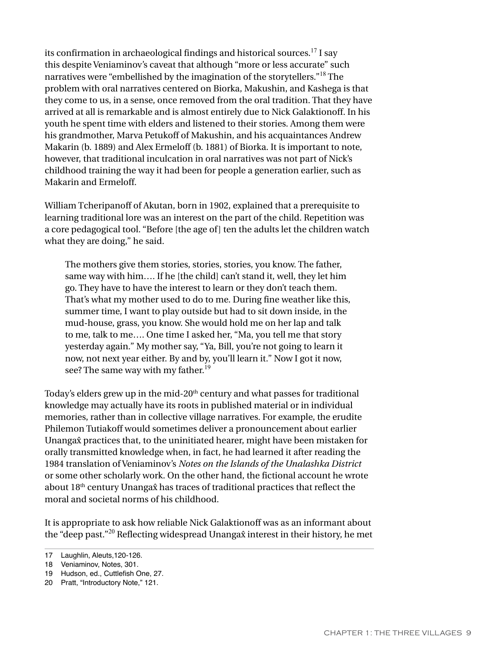its confirmation in archaeological findings and historical sources.<sup>17</sup> I say this despite Veniaminov's caveat that although "more or less accurate" such narratives were "embellished by the imagination of the storytellers."<sup>18</sup> The problem with oral narratives centered on Biorka, Makushin, and Kashega is that they come to us, in a sense, once removed from the oral tradition. That they have arrived at all is remarkable and is almost entirely due to Nick Galaktionoff. In his youth he spent time with elders and listened to their stories. Among them were his grandmother, Marva Petukoff of Makushin, and his acquaintances Andrew Makarin (b. 1889) and Alex Ermeloff (b. 1881) of Biorka. It is important to note, however, that traditional inculcation in oral narratives was not part of Nick's childhood training the way it had been for people a generation earlier, such as Makarin and Ermeloff.

William Tcheripanoff of Akutan, born in 1902, explained that a prerequisite to learning traditional lore was an interest on the part of the child. Repetition was a core pedagogical tool. "Before [the age of] ten the adults let the children watch what they are doing," he said.

The mothers give them stories, stories, stories, you know. The father, same way with him.... If he [the child] can't stand it, well, they let him go. They have to have the interest to learn or they don't teach them. That's what my mother used to do to me. During fine weather like this, summer time, I want to play outside but had to sit down inside, in the mud-house, grass, you know. She would hold me on her lap and talk to me, talk to me…. One time I asked her, "Ma, you tell me that story yesterday again." My mother say, "Ya, Bill, you're not going to learn it now, not next year either. By and by, you'll learn it." Now I got it now, see? The same way with my father.<sup>19</sup>

Today's elders grew up in the mid-20<sup>th</sup> century and what passes for traditional knowledge may actually have its roots in published material or in individual memories, rather than in collective village narratives. For example, the erudite Philemon Tutiakoff would sometimes deliver a pronouncement about earlier Unanga $\hat{x}$  practices that, to the uninitiated hearer, might have been mistaken for orally transmitted knowledge when, in fact, he had learned it after reading the 1984 translation of Veniaminov's *Notes on the Islands of the Unalashka District* or some other scholarly work. On the other hand, the fictional account he wrote about  $18<sup>th</sup>$  century Unanga $\hat{x}$  has traces of traditional practices that reflect the moral and societal norms of his childhood.

It is appropriate to ask how reliable Nick Galaktionoff was as an informant about the "deep past."<sup>20</sup> Reflecting widespread Unanga $\hat{x}$  interest in their history, he met

<sup>17</sup> Laughlin, Aleuts,120-126.

<sup>18</sup> Veniaminov, Notes, 301.

<sup>19</sup> Hudson, ed., Cuttlefish One, 27.

<sup>20</sup> Pratt, "Introductory Note," 121.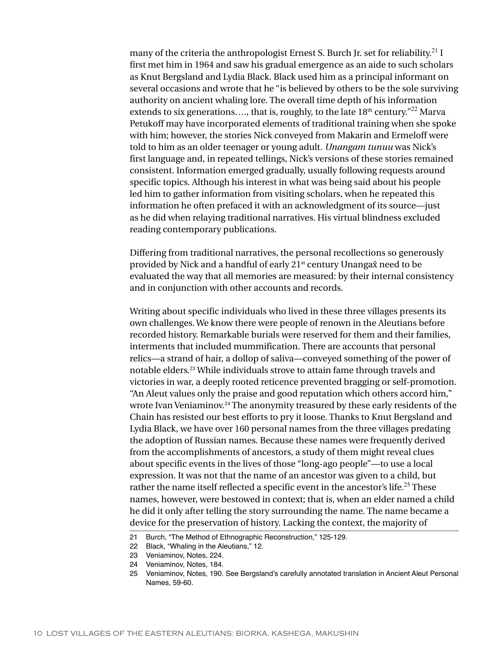many of the criteria the anthropologist Ernest S. Burch Jr. set for reliability.<sup>21</sup> I first met him in 1964 and saw his gradual emergence as an aide to such scholars as Knut Bergsland and Lydia Black. Black used him as a principal informant on several occasions and wrote that he "is believed by others to be the sole surviving authority on ancient whaling lore. The overall time depth of his information extends to six generations...., that is, roughly, to the late  $18<sup>th</sup>$  century.<sup>"22</sup> Marva Petukoff may have incorporated elements of traditional training when she spoke with him; however, the stories Nick conveyed from Makarin and Ermeloff were told to him as an older teenager or young adult. *Unangam tunuu* was Nick's first language and, in repeated tellings, Nick's versions of these stories remained consistent. Information emerged gradually, usually following requests around specific topics. Although his interest in what was being said about his people led him to gather information from visiting scholars, when he repeated this information he often prefaced it with an acknowledgment of its source—just as he did when relaying traditional narratives. His virtual blindness excluded reading contemporary publications.

Differing from traditional narratives, the personal recollections so generously provided by Nick and a handful of early 21<sup>st</sup> century Unangax need to be evaluated the way that all memories are measured: by their internal consistency and in conjunction with other accounts and records.

Writing about specific individuals who lived in these three villages presents its own challenges. We know there were people of renown in the Aleutians before recorded history. Remarkable burials were reserved for them and their families, interments that included mummification. There are accounts that personal relics—a strand of hair, a dollop of saliva—conveyed something of the power of notable elders.23 While individuals strove to attain fame through travels and victories in war, a deeply rooted reticence prevented bragging or self-promotion. "An Aleut values only the praise and good reputation which others accord him," wrote Ivan Veniaminov.<sup>24</sup> The anonymity treasured by these early residents of the Chain has resisted our best efforts to pry it loose. Thanks to Knut Bergsland and Lydia Black, we have over 160 personal names from the three villages predating the adoption of Russian names. Because these names were frequently derived from the accomplishments of ancestors, a study of them might reveal clues about specific events in the lives of those "long-ago people"—to use a local expression. It was not that the name of an ancestor was given to a child, but rather the name itself reflected a specific event in the ancestor's life.<sup>25</sup> These names, however, were bestowed in context; that is, when an elder named a child he did it only after telling the story surrounding the name. The name became a device for the preservation of history. Lacking the context, the majority of

<sup>21</sup> Burch, "The Method of Ethnographic Reconstruction," 125-129.

<sup>22</sup> Black, "Whaling in the Aleutians," 12.

<sup>23</sup> Veniaminov, Notes, 224.

<sup>24</sup> Veniaminov, Notes, 184.

<sup>25</sup> Veniaminov, Notes, 190. See Bergsland's carefully annotated translation in Ancient Aleut Personal Names, 59-60.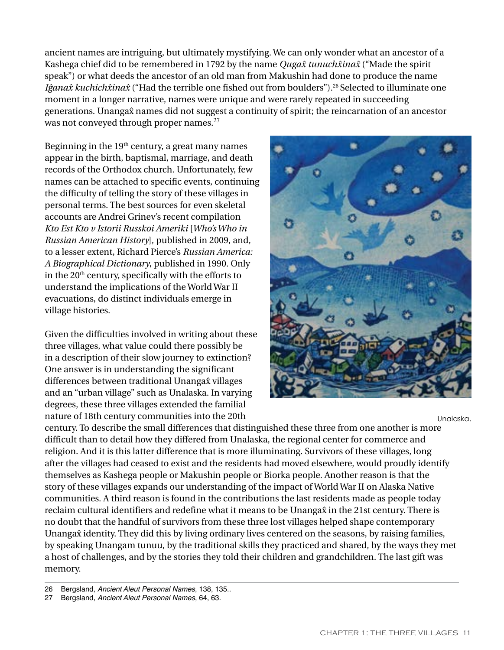ancient names are intriguing, but ultimately mystifying. We can only wonder what an ancestor of a Kashega chief did to be remembered in 1792 by the name *Quga{ tunuch{ina{* ("Made the spirit speak") or what deeds the ancestor of an old man from Makushin had done to produce the name I*ĝana* $\hat{x}$  *kuchich* $\hat{x}$ *ina* $\hat{x}$  ("Had the terrible one fished out from boulders").<sup>26</sup> Selected to illuminate one moment in a longer narrative, names were unique and were rarely repeated in succeeding generations. Unanga{ names did not suggest a continuity of spirit; the reincarnation of an ancestor was not conveyed through proper names.<sup>27</sup>

Beginning in the  $19<sup>th</sup>$  century, a great many names appear in the birth, baptismal, marriage, and death records of the Orthodox church. Unfortunately, few names can be attached to specific events, continuing the difficulty of telling the story of these villages in personal terms. The best sources for even skeletal accounts are Andrei Grinev's recent compilation *Kto Est Kto v Istorii Russkoi Ameriki* [*Who's Who in Russian American History*], published in 2009, and, to a lesser extent, Richard Pierce's *Russian America: A Biographical Dictionary*, published in 1990. Only in the  $20<sup>th</sup>$  century, specifically with the efforts to understand the implications of the World War II evacuations, do distinct individuals emerge in village histories.

Given the difficulties involved in writing about these three villages, what value could there possibly be in a description of their slow journey to extinction? One answer is in understanding the significant differences between traditional Unanga $\hat{x}$  villages and an "urban village" such as Unalaska. In varying degrees, these three villages extended the familial nature of 18th century communities into the 20th



Unalaska.

century. To describe the small differences that distinguished these three from one another is more difficult than to detail how they differed from Unalaska, the regional center for commerce and religion. And it is this latter difference that is more illuminating. Survivors of these villages, long after the villages had ceased to exist and the residents had moved elsewhere, would proudly identify themselves as Kashega people or Makushin people or Biorka people. Another reason is that the story of these villages expands our understanding of the impact of World War II on Alaska Native communities. A third reason is found in the contributions the last residents made as people today reclaim cultural identifiers and redefine what it means to be Unanga $\hat{x}$  in the 21st century. There is no doubt that the handful of survivors from these three lost villages helped shape contemporary Unanga $\hat{x}$  identity. They did this by living ordinary lives centered on the seasons, by raising families, by speaking Unangam tunuu, by the traditional skills they practiced and shared, by the ways they met a host of challenges, and by the stories they told their children and grandchildren. The last gift was memory.

<sup>26</sup> Bergsland, *Ancient Aleut Personal Names*, 138, 135..

<sup>27</sup> Bergsland, *Ancient Aleut Personal Names*, 64, 63.